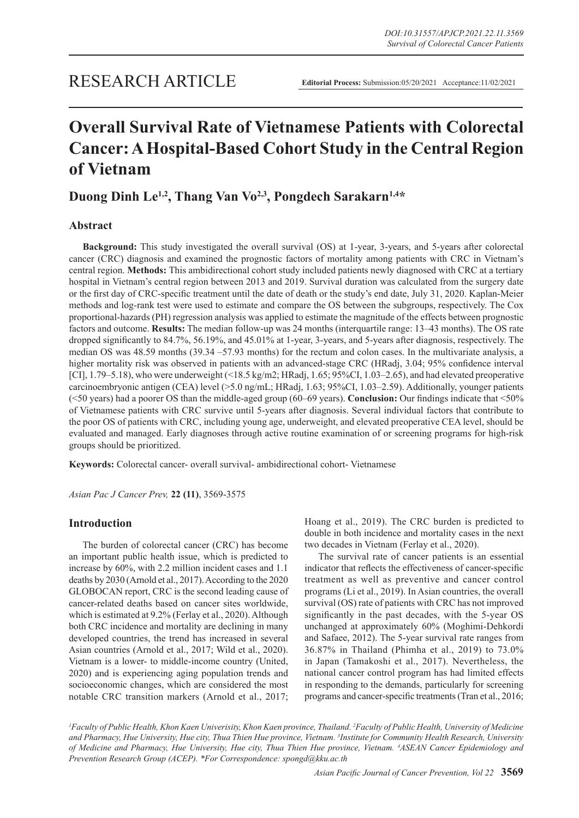# **Overall Survival Rate of Vietnamese Patients with Colorectal Cancer: A Hospital-Based Cohort Study in the Central Region of Vietnam**

# **Duong Dinh Le1,2, Thang Van Vo2,3, Pongdech Sarakarn1,4\***

# **Abstract**

**Background:** This study investigated the overall survival (OS) at 1-year, 3-years, and 5-years after colorectal cancer (CRC) diagnosis and examined the prognostic factors of mortality among patients with CRC in Vietnam's central region. **Methods:** This ambidirectional cohort study included patients newly diagnosed with CRC at a tertiary hospital in Vietnam's central region between 2013 and 2019. Survival duration was calculated from the surgery date or the first day of CRC-specific treatment until the date of death or the study's end date, July 31, 2020. Kaplan-Meier methods and log-rank test were used to estimate and compare the OS between the subgroups, respectively. The Cox proportional-hazards (PH) regression analysis was applied to estimate the magnitude of the effects between prognostic factors and outcome. **Results:** The median follow-up was 24 months (interquartile range: 13–43 months). The OS rate dropped significantly to 84.7%, 56.19%, and 45.01% at 1-year, 3-years, and 5-years after diagnosis, respectively. The median OS was 48.59 months (39.34 –57.93 months) for the rectum and colon cases. In the multivariate analysis, a higher mortality risk was observed in patients with an advanced-stage CRC (HRadj, 3.04; 95% confidence interval [CI], 1.79–5.18), who were underweight (<18.5 kg/m2; HRadj, 1.65; 95%CI, 1.03–2.65), and had elevated preoperative carcinoembryonic antigen (CEA) level (>5.0 ng/mL; HRadj, 1.63; 95%CI, 1.03–2.59). Additionally, younger patients (<50 years) had a poorer OS than the middle-aged group (60–69 years). **Conclusion:** Our findings indicate that <50% of Vietnamese patients with CRC survive until 5-years after diagnosis. Several individual factors that contribute to the poor OS of patients with CRC, including young age, underweight, and elevated preoperative CEA level, should be evaluated and managed. Early diagnoses through active routine examination of or screening programs for high-risk groups should be prioritized.

**Keywords:** Colorectal cancer- overall survival- ambidirectional cohort- Vietnamese

*Asian Pac J Cancer Prev,* **22 (11)**, 3569-3575

# **Introduction**

The burden of colorectal cancer (CRC) has become an important public health issue, which is predicted to increase by 60%, with 2.2 million incident cases and 1.1 deaths by 2030 (Arnold et al., 2017). According to the 2020 GLOBOCAN report, CRC is the second leading cause of cancer-related deaths based on cancer sites worldwide, which is estimated at 9.2% (Ferlay et al., 2020). Although both CRC incidence and mortality are declining in many developed countries, the trend has increased in several Asian countries (Arnold et al., 2017; Wild et al., 2020). Vietnam is a lower- to middle-income country (United, 2020) and is experiencing aging population trends and socioeconomic changes, which are considered the most notable CRC transition markers (Arnold et al., 2017; Hoang et al., 2019). The CRC burden is predicted to double in both incidence and mortality cases in the next two decades in Vietnam (Ferlay et al., 2020).

The survival rate of cancer patients is an essential indicator that reflects the effectiveness of cancer-specific treatment as well as preventive and cancer control programs (Li et al., 2019). In Asian countries, the overall survival (OS) rate of patients with CRC has not improved significantly in the past decades, with the 5-year OS unchanged at approximately 60% (Moghimi-Dehkordi and Safaee, 2012). The 5-year survival rate ranges from 36.87% in Thailand (Phimha et al., 2019) to 73.0% in Japan (Tamakoshi et al., 2017). Nevertheless, the national cancer control program has had limited effects in responding to the demands, particularly for screening programs and cancer-specific treatments (Tran et al., 2016;

*1 Faculty of Public Health, Khon Kaen Univerisity, Khon Kaen province, Thailand. 2 Faculty of Public Health, University of Medicine and Pharmacy, Hue University, Hue city, Thua Thien Hue province, Vietnam. 3 Institute for Community Health Research, University of Medicine and Pharmacy, Hue University, Hue city, Thua Thien Hue province, Vietnam. 4 ASEAN Cancer Epidemiology and Prevention Research Group (ACEP). \*For Correspondence: spongd@kku.ac.th*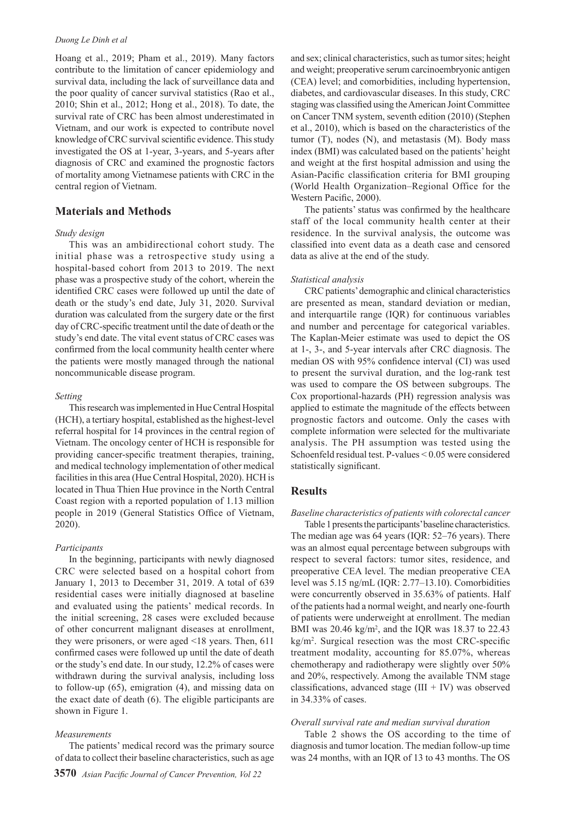#### *Duong Le Dinh et al*

Hoang et al., 2019; Pham et al., 2019). Many factors contribute to the limitation of cancer epidemiology and survival data, including the lack of surveillance data and the poor quality of cancer survival statistics (Rao et al., 2010; Shin et al., 2012; Hong et al., 2018). To date, the survival rate of CRC has been almost underestimated in Vietnam, and our work is expected to contribute novel knowledge of CRC survival scientific evidence. This study investigated the OS at 1-year, 3-years, and 5-years after diagnosis of CRC and examined the prognostic factors of mortality among Vietnamese patients with CRC in the central region of Vietnam.

# **Materials and Methods**

## *Study design*

This was an ambidirectional cohort study. The initial phase was a retrospective study using a hospital-based cohort from 2013 to 2019. The next phase was a prospective study of the cohort, wherein the identified CRC cases were followed up until the date of death or the study's end date, July 31, 2020. Survival duration was calculated from the surgery date or the first day of CRC-specific treatment until the date of death or the study's end date. The vital event status of CRC cases was confirmed from the local community health center where the patients were mostly managed through the national noncommunicable disease program.

#### *Setting*

This research was implemented in Hue Central Hospital (HCH), a tertiary hospital, established as the highest-level referral hospital for 14 provinces in the central region of Vietnam. The oncology center of HCH is responsible for providing cancer-specific treatment therapies, training, and medical technology implementation of other medical facilities in this area (Hue Central Hospital, 2020). HCH is located in Thua Thien Hue province in the North Central Coast region with a reported population of 1.13 million people in 2019 (General Statistics Office of Vietnam, 2020).

#### *Participants*

In the beginning, participants with newly diagnosed CRC were selected based on a hospital cohort from January 1, 2013 to December 31, 2019. A total of 639 residential cases were initially diagnosed at baseline and evaluated using the patients' medical records. In the initial screening, 28 cases were excluded because of other concurrent malignant diseases at enrollment, they were prisoners, or were aged <18 years. Then, 611 confirmed cases were followed up until the date of death or the study's end date. In our study, 12.2% of cases were withdrawn during the survival analysis, including loss to follow-up (65), emigration (4), and missing data on the exact date of death (6). The eligible participants are shown in Figure 1.

#### *Measurements*

The patients' medical record was the primary source of data to collect their baseline characteristics, such as age and sex; clinical characteristics, such as tumor sites; height and weight; preoperative serum carcinoembryonic antigen (CEA) level; and comorbidities, including hypertension, diabetes, and cardiovascular diseases. In this study, CRC staging was classified using the American Joint Committee on Cancer TNM system, seventh edition (2010) (Stephen et al., 2010), which is based on the characteristics of the tumor (T), nodes (N), and metastasis (M). Body mass index (BMI) was calculated based on the patients' height and weight at the first hospital admission and using the Asian-Pacific classification criteria for BMI grouping (World Health Organization–Regional Office for the Western Pacific, 2000).

The patients' status was confirmed by the healthcare staff of the local community health center at their residence. In the survival analysis, the outcome was classified into event data as a death case and censored data as alive at the end of the study.

#### *Statistical analysis*

CRC patients' demographic and clinical characteristics are presented as mean, standard deviation or median, and interquartile range (IQR) for continuous variables and number and percentage for categorical variables. The Kaplan-Meier estimate was used to depict the OS at 1-, 3-, and 5-year intervals after CRC diagnosis. The median OS with 95% confidence interval (CI) was used to present the survival duration, and the log-rank test was used to compare the OS between subgroups. The Cox proportional-hazards (PH) regression analysis was applied to estimate the magnitude of the effects between prognostic factors and outcome. Only the cases with complete information were selected for the multivariate analysis. The PH assumption was tested using the Schoenfeld residual test. P-values < 0.05 were considered statistically significant.

## **Results**

## *Baseline characteristics of patients with colorectal cancer*

Table 1 presents the participants' baseline characteristics. The median age was 64 years (IQR: 52–76 years). There was an almost equal percentage between subgroups with respect to several factors: tumor sites, residence, and preoperative CEA level. The median preoperative CEA level was 5.15 ng/mL (IQR: 2.77–13.10). Comorbidities were concurrently observed in 35.63% of patients. Half of the patients had a normal weight, and nearly one-fourth of patients were underweight at enrollment. The median BMI was 20.46 kg/m<sup>2</sup>, and the IQR was 18.37 to 22.43 kg/m<sup>2</sup> . Surgical resection was the most CRC-specific treatment modality, accounting for 85.07%, whereas chemotherapy and radiotherapy were slightly over 50% and 20%, respectively. Among the available TNM stage classifications, advanced stage  $(III + IV)$  was observed in 34.33% of cases.

#### *Overall survival rate and median survival duration*

Table 2 shows the OS according to the time of diagnosis and tumor location. The median follow-up time was 24 months, with an IQR of 13 to 43 months. The OS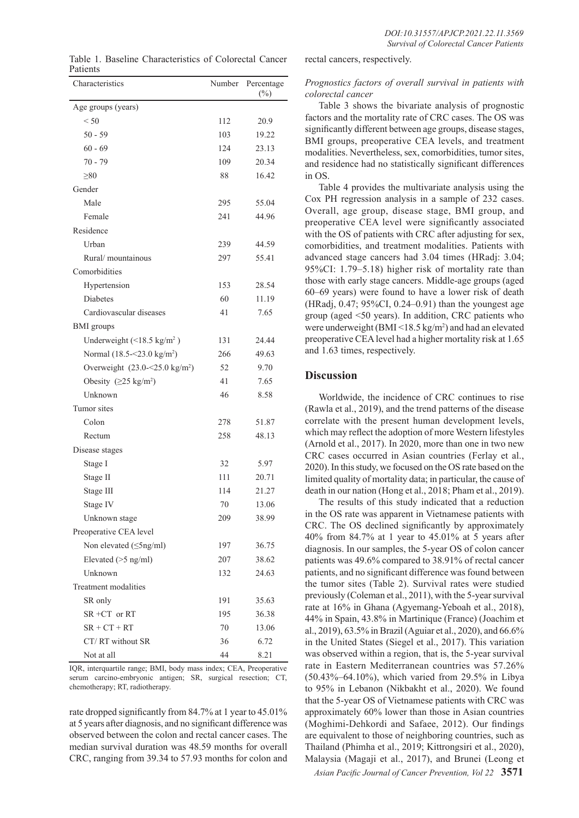Table 1. Baseline Characteristics of Colorectal Cancer Patients

| Characteristics                           | Number | Percentage<br>$(\%)$ |
|-------------------------------------------|--------|----------------------|
| Age groups (years)                        |        |                      |
| < 50                                      | 112    | 20.9                 |
| $50 - 59$                                 | 103    | 19.22                |
| $60 - 69$                                 | 124    | 23.13                |
| $70 - 79$                                 | 109    | 20.34                |
| $\geq 80$                                 | 88     | 16.42                |
| Gender                                    |        |                      |
| Male                                      | 295    | 55.04                |
| Female                                    | 241    | 44.96                |
| Residence                                 |        |                      |
| Urban                                     | 239    | 44.59                |
| Rural/mountainous                         | 297    | 55.41                |
| Comorbidities                             |        |                      |
| Hypertension                              | 153    | 28.54                |
| <b>Diabetes</b>                           | 60     | 11.19                |
| Cardiovascular diseases                   | 41     | 7.65                 |
| <b>BMI</b> groups                         |        |                      |
| Underweight $(<18.5 \text{ kg/m}^2)$      | 131    | 24.44                |
| Normal (18.5 - < 23.0 kg/m <sup>2</sup> ) | 266    | 49.63                |
| Overweight $(23.0 - 5.0 \text{ kg/m}^2)$  | 52     | 9.70                 |
| Obesity $(25 \text{ kg/m}^2)$             | 41     | 7.65                 |
| Unknown                                   | 46     | 8.58                 |
| Tumor sites                               |        |                      |
| Colon                                     | 278    | 51.87                |
| Rectum                                    | 258    | 48.13                |
| Disease stages                            |        |                      |
| Stage I                                   | 32     | 5.97                 |
| Stage II                                  | 111    | 20.71                |
| Stage III                                 | 114    | 21.27                |
| Stage IV                                  | 70     | 13.06                |
| Unknown stage                             | 209    | 38.99                |
| Preoperative CEA level                    |        |                      |
| Non elevated ( $\leq$ 5ng/ml)             | 197    | 36.75                |
| Elevated (>5 ng/ml)                       | 207    | 38.62                |
| Unknown                                   | 132    | 24.63                |
| Treatment modalities                      |        |                      |
| SR only                                   | 191    | 35.63                |
| $SR + CT$ or $RT$                         | 195    | 36.38                |
| $SR + CT + RT$                            | 70     | 13.06                |
| CT/RT without SR                          | 36     | 6.72                 |
| Not at all                                | 44     | 8.21                 |

IQR, interquartile range; BMI, body mass index; CEA, Preoperative serum carcino-embryonic antigen; SR, surgical resection; CT, chemotherapy; RT, radiotherapy.

rate dropped significantly from 84.7% at 1 year to 45.01% at 5 years after diagnosis, and no significant difference was observed between the colon and rectal cancer cases. The median survival duration was 48.59 months for overall CRC, ranging from 39.34 to 57.93 months for colon and rectal cancers, respectively.

## *Prognostics factors of overall survival in patients with colorectal cancer*

Table 3 shows the bivariate analysis of prognostic factors and the mortality rate of CRC cases. The OS was significantly different between age groups, disease stages, BMI groups, preoperative CEA levels, and treatment modalities. Nevertheless, sex, comorbidities, tumor sites, and residence had no statistically significant differences in OS.

Table 4 provides the multivariate analysis using the Cox PH regression analysis in a sample of 232 cases. Overall, age group, disease stage, BMI group, and preoperative CEA level were significantly associated with the OS of patients with CRC after adjusting for sex, comorbidities, and treatment modalities. Patients with advanced stage cancers had 3.04 times (HRadj: 3.04; 95%CI: 1.79–5.18) higher risk of mortality rate than those with early stage cancers. Middle-age groups (aged 60–69 years) were found to have a lower risk of death (HRadj, 0.47; 95%CI, 0.24–0.91) than the youngest age group (aged <50 years). In addition, CRC patients who were underweight (BMI <18.5 kg/m<sup>2</sup>) and had an elevated preoperative CEA level had a higher mortality risk at 1.65 and 1.63 times, respectively.

# **Discussion**

Worldwide, the incidence of CRC continues to rise (Rawla et al., 2019), and the trend patterns of the disease correlate with the present human development levels, which may reflect the adoption of more Western lifestyles (Arnold et al., 2017). In 2020, more than one in two new CRC cases occurred in Asian countries (Ferlay et al., 2020). In this study, we focused on the OS rate based on the limited quality of mortality data; in particular, the cause of death in our nation (Hong et al., 2018; Pham et al., 2019).

The results of this study indicated that a reduction in the OS rate was apparent in Vietnamese patients with CRC. The OS declined significantly by approximately 40% from 84.7% at 1 year to 45.01% at 5 years after diagnosis. In our samples, the 5-year OS of colon cancer patients was 49.6% compared to 38.91% of rectal cancer patients, and no significant difference was found between the tumor sites (Table 2). Survival rates were studied previously (Coleman et al., 2011), with the 5-year survival rate at 16% in Ghana (Agyemang-Yeboah et al., 2018), 44% in Spain, 43.8% in Martinique (France) (Joachim et al., 2019), 63.5% in Brazil (Aguiar et al., 2020), and 66.6% in the United States (Siegel et al., 2017). This variation was observed within a region, that is, the 5-year survival rate in Eastern Mediterranean countries was 57.26% (50.43%–64.10%), which varied from 29.5% in Libya to 95% in Lebanon (Nikbakht et al., 2020). We found that the 5-year OS of Vietnamese patients with CRC was approximately 60% lower than those in Asian countries (Moghimi-Dehkordi and Safaee, 2012). Our findings are equivalent to those of neighboring countries, such as Thailand (Phimha et al., 2019; Kittrongsiri et al., 2020), Malaysia (Magaji et al., 2017), and Brunei (Leong et

*Asian Pacific Journal of Cancer Prevention, Vol 22* **3571**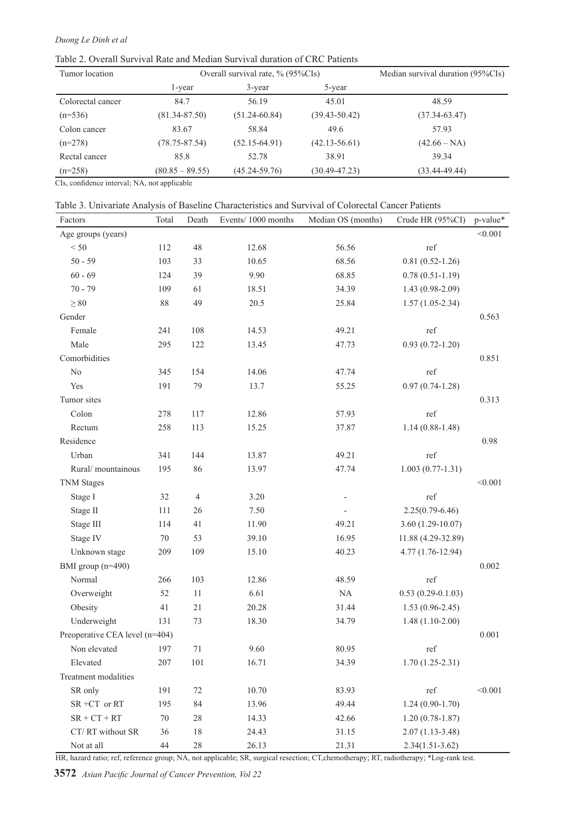# *Duong Le Dinh et al*

Table 2. Overall Survival Rate and Median Survival duration of CRC Patients

| Tumor location    |                   | Overall survival rate, $\%$ (95%CIs) | Median survival duration (95%CIs) |                   |
|-------------------|-------------------|--------------------------------------|-----------------------------------|-------------------|
|                   | l-year            | 3-year                               | 5-year                            |                   |
| Colorectal cancer | 84.7              | 56.19                                | 45.01                             | 48.59             |
| $(n=536)$         | $(81.34 - 87.50)$ | $(51.24 - 60.84)$                    | $(39.43 - 50.42)$                 | $(37.34 - 63.47)$ |
| Colon cancer      | 83.67             | 58.84                                | 49.6                              | 57.93             |
| $(n=278)$         | $(78.75 - 87.54)$ | $(52.15-64.91)$                      | $(42.13 - 56.61)$                 | $(42.66 - NA)$    |
| Rectal cancer     | 85.8              | 52.78                                | 38.91                             | 39.34             |
| $(n=258)$         | $(80.85 - 89.55)$ | $(45.24 - 59.76)$                    | $(30.49 - 47.23)$                 | $(33.44 - 49.44)$ |

CIs, confidence interval; NA, not applicable

| Table 3. Univariate Analysis of Baseline Characteristics and Survival of Colorectal Cancer Patients |  |  |  |  |  |  |
|-----------------------------------------------------------------------------------------------------|--|--|--|--|--|--|
|-----------------------------------------------------------------------------------------------------|--|--|--|--|--|--|

| Factors                        | Total  | Death          | Events/1000 months | Median OS (months)       | Crude HR (95%CI)    | p-value* |
|--------------------------------|--------|----------------|--------------------|--------------------------|---------------------|----------|
| Age groups (years)             |        |                |                    |                          |                     | < 0.001  |
| < 50                           | 112    | 48             | 12.68              | 56.56                    | ref                 |          |
| $50 - 59$                      | 103    | 33             | 10.65              | 68.56                    | $0.81(0.52-1.26)$   |          |
| $60 - 69$                      | 124    | 39             | 9.90               | 68.85                    | $0.78(0.51-1.19)$   |          |
| $70 - 79$                      | 109    | 61             | 18.51              | 34.39                    | $1.43(0.98-2.09)$   |          |
| $\geq 80$                      | $88\,$ | 49             | 20.5               | 25.84                    | $1.57(1.05-2.34)$   |          |
| Gender                         |        |                |                    |                          |                     | 0.563    |
| Female                         | 241    | 108            | 14.53              | 49.21                    | ref                 |          |
| Male                           | 295    | 122            | 13.45              | 47.73                    | $0.93(0.72 - 1.20)$ |          |
| Comorbidities                  |        |                |                    |                          |                     | 0.851    |
| $\rm No$                       | 345    | 154            | 14.06              | 47.74                    | ref                 |          |
| Yes                            | 191    | 79             | 13.7               | 55.25                    | $0.97(0.74 - 1.28)$ |          |
| Tumor sites                    |        |                |                    |                          |                     | 0.313    |
| Colon                          | 278    | 117            | 12.86              | 57.93                    | ref                 |          |
| Rectum                         | 258    | 113            | 15.25              | 37.87                    | $1.14(0.88-1.48)$   |          |
| Residence                      |        |                |                    |                          |                     | 0.98     |
| Urban                          | 341    | 144            | 13.87              | 49.21                    | ref                 |          |
| Rural/mountainous              | 195    | 86             | 13.97              | 47.74                    | $1.003(0.77-1.31)$  |          |
| <b>TNM Stages</b>              |        |                |                    |                          |                     | < 0.001  |
| Stage I                        | 32     | $\overline{4}$ | 3.20               | $\overline{\phantom{a}}$ | ref                 |          |
| Stage II                       | 111    | 26             | 7.50               |                          | $2.25(0.79-6.46)$   |          |
| Stage III                      | 114    | 41             | 11.90              | 49.21                    | $3.60(1.29-10.07)$  |          |
| Stage IV                       | $70\,$ | 53             | 39.10              | 16.95                    | 11.88 (4.29-32.89)  |          |
| Unknown stage                  | 209    | 109            | 15.10              | 40.23                    | $4.77(1.76-12.94)$  |          |
| BMI group (n=490)              |        |                |                    |                          |                     | 0.002    |
| Normal                         | 266    | 103            | 12.86              | 48.59                    | ref                 |          |
| Overweight                     | 52     | 11             | 6.61               | $\rm NA$                 | $0.53(0.29-0.1.03)$ |          |
| Obesity                        | 41     | 21             | 20.28              | 31.44                    | $1.53(0.96-2.45)$   |          |
| Underweight                    | 131    | 73             | 18.30              | 34.79                    | $1.48(1.10-2.00)$   |          |
| Preoperative CEA level (n=404) |        |                |                    |                          |                     | 0.001    |
| Non elevated                   | 197    | 71             | 9.60               | 80.95                    | ref                 |          |
| Elevated                       | 207    | 101            | 16.71              | 34.39                    | $1.70(1.25-2.31)$   |          |
| Treatment modalities           |        |                |                    |                          |                     |          |
| SR only                        | 191    | 72             | 10.70              | 83.93                    | ref                 | < 0.001  |
| SR +CT or RT                   | 195    | 84             | 13.96              | 49.44                    | $1.24(0.90-1.70)$   |          |
| $SR + CT + RT$                 | $70\,$ | 28             | 14.33              | 42.66                    | $1.20(0.78-1.87)$   |          |
| CT/RT without SR               | 36     | 18             | 24.43              | 31.15                    | $2.07(1.13-3.48)$   |          |
| Not at all                     | 44     | $28\,$         | 26.13              | 21.31                    | $2.34(1.51-3.62)$   |          |

HR, hazard ratio; ref, reference group; NA, not applicable; SR, surgical resection; CT,chemotherapy; RT, radiotherapy; \*Log-rank test.

**3572** *Asian Pacific Journal of Cancer Prevention, Vol 22*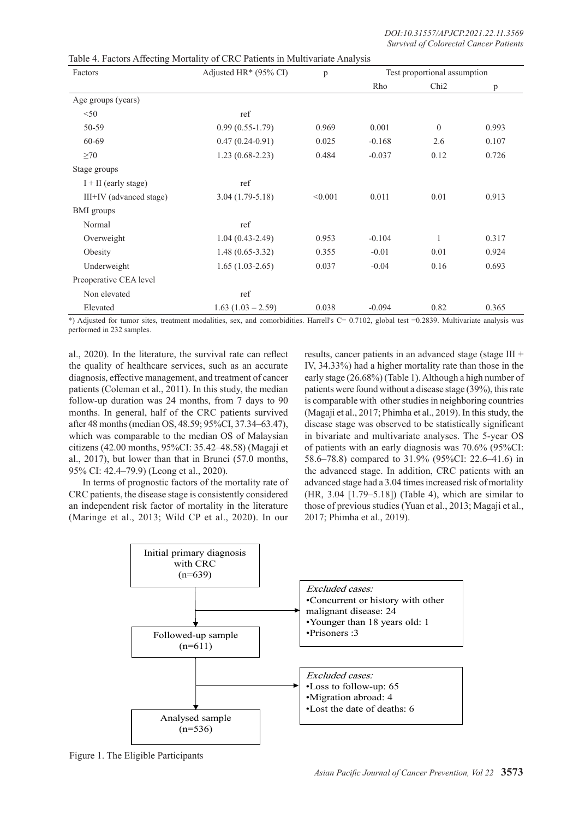| Factors                 | Adjusted HR $*$ (95% CI) | p       | Test proportional assumption |                  |       |
|-------------------------|--------------------------|---------|------------------------------|------------------|-------|
|                         |                          |         | Rho                          | Chi <sub>2</sub> | p     |
| Age groups (years)      |                          |         |                              |                  |       |
| < 50                    | ref                      |         |                              |                  |       |
| 50-59                   | $0.99(0.55-1.79)$        | 0.969   | 0.001                        | $\Omega$         | 0.993 |
| 60-69                   | $0.47(0.24-0.91)$        | 0.025   | $-0.168$                     | 2.6              | 0.107 |
| $\geq 70$               | $1.23(0.68-2.23)$        | 0.484   | $-0.037$                     | 0.12             | 0.726 |
| Stage groups            |                          |         |                              |                  |       |
| $I + II$ (early stage)  | ref                      |         |                              |                  |       |
| III+IV (advanced stage) | $3.04(1.79-5.18)$        | < 0.001 | 0.011                        | 0.01             | 0.913 |
| <b>BMI</b> groups       |                          |         |                              |                  |       |
| Normal                  | ref                      |         |                              |                  |       |
| Overweight              | $1.04(0.43-2.49)$        | 0.953   | $-0.104$                     | 1                | 0.317 |
| Obesity                 | $1.48(0.65-3.32)$        | 0.355   | $-0.01$                      | 0.01             | 0.924 |
| Underweight             | $1.65(1.03-2.65)$        | 0.037   | $-0.04$                      | 0.16             | 0.693 |
| Preoperative CEA level  |                          |         |                              |                  |       |
| Non elevated            | ref                      |         |                              |                  |       |
| Elevated                | $1.63(1.03 - 2.59)$      | 0.038   | $-0.094$                     | 0.82             | 0.365 |

\*) Adjusted for tumor sites, treatment modalities, sex, and comorbidities. Harrell's C= 0.7102, global test =0.2839. Multivariate analysis was performed in 232 samples.

al., 2020). In the literature, the survival rate can reflect the quality of healthcare services, such as an accurate diagnosis, effective management, and treatment of cancer patients (Coleman et al., 2011). In this study, the median follow-up duration was 24 months, from 7 days to 90 months. In general, half of the CRC patients survived after 48 months (median OS, 48.59; 95%CI, 37.34–63.47), which was comparable to the median OS of Malaysian citizens (42.00 months, 95%CI: 35.42–48.58) (Magaji et al., 2017), but lower than that in Brunei (57.0 months, 95% CI: 42.4–79.9) (Leong et al., 2020).

In terms of prognostic factors of the mortality rate of CRC patients, the disease stage is consistently considered an independent risk factor of mortality in the literature (Maringe et al., 2013; Wild CP et al., 2020). In our results, cancer patients in an advanced stage (stage III + IV, 34.33%) had a higher mortality rate than those in the early stage (26.68%) (Table 1). Although a high number of patients were found without a disease stage (39%), this rate is comparable with other studies in neighboring countries (Magaji et al., 2017; Phimha et al., 2019). In this study, the disease stage was observed to be statistically significant in bivariate and multivariate analyses. The 5-year OS of patients with an early diagnosis was 70.6% (95%CI: 58.6–78.8) compared to 31.9% (95%CI: 22.6–41.6) in the advanced stage. In addition, CRC patients with an advanced stage had a 3.04 times increased risk of mortality (HR, 3.04 [1.79–5.18]) (Table 4), which are similar to those of previous studies (Yuan et al., 2013; Magaji et al., 2017; Phimha et al., 2019).



Figure 1. The Eligible Participants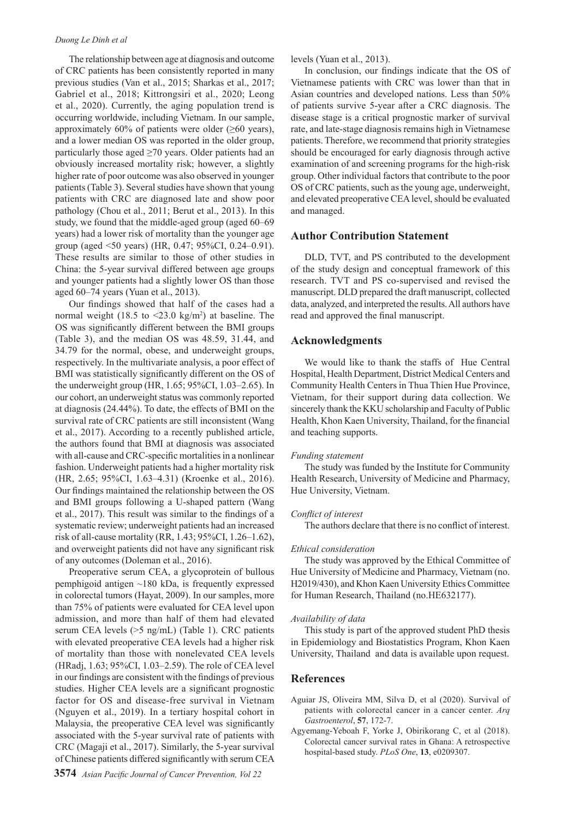The relationship between age at diagnosis and outcome of CRC patients has been consistently reported in many previous studies (Van et al., 2015; Sharkas et al., 2017; Gabriel et al., 2018; Kittrongsiri et al., 2020; Leong et al., 2020). Currently, the aging population trend is occurring worldwide, including Vietnam. In our sample, approximately 60% of patients were older  $(\geq 60 \text{ years})$ , and a lower median OS was reported in the older group, particularly those aged ≥70 years. Older patients had an obviously increased mortality risk; however, a slightly higher rate of poor outcome was also observed in younger patients (Table 3). Several studies have shown that young patients with CRC are diagnosed late and show poor pathology (Chou et al., 2011; Berut et al., 2013). In this study, we found that the middle-aged group (aged 60–69 years) had a lower risk of mortality than the younger age group (aged <50 years) (HR, 0.47; 95%CI, 0.24–0.91). These results are similar to those of other studies in China: the 5-year survival differed between age groups and younger patients had a slightly lower OS than those aged 60–74 years (Yuan et al., 2013).

Our findings showed that half of the cases had a normal weight  $(18.5 \text{ to } \leq 23.0 \text{ kg/m}^2)$  at baseline. The OS was significantly different between the BMI groups (Table 3), and the median OS was 48.59, 31.44, and 34.79 for the normal, obese, and underweight groups, respectively. In the multivariate analysis, a poor effect of BMI was statistically significantly different on the OS of the underweight group (HR, 1.65; 95%CI, 1.03–2.65). In our cohort, an underweight status was commonly reported at diagnosis (24.44%). To date, the effects of BMI on the survival rate of CRC patients are still inconsistent (Wang et al., 2017). According to a recently published article, the authors found that BMI at diagnosis was associated with all-cause and CRC-specific mortalities in a nonlinear fashion. Underweight patients had a higher mortality risk (HR, 2.65; 95%CI, 1.63–4.31) (Kroenke et al., 2016). Our findings maintained the relationship between the OS and BMI groups following a U-shaped pattern (Wang et al., 2017). This result was similar to the findings of a systematic review; underweight patients had an increased risk of all-cause mortality (RR, 1.43; 95%CI, 1.26–1.62), and overweight patients did not have any significant risk of any outcomes (Doleman et al., 2016).

Preoperative serum CEA, a glycoprotein of bullous pemphigoid antigen  $\sim$ 180 kDa, is frequently expressed in colorectal tumors (Hayat, 2009). In our samples, more than 75% of patients were evaluated for CEA level upon admission, and more than half of them had elevated serum CEA levels (>5 ng/mL) (Table 1). CRC patients with elevated preoperative CEA levels had a higher risk of mortality than those with nonelevated CEA levels (HRadj, 1.63; 95%CI, 1.03–2.59). The role of CEA level in our findings are consistent with the findings of previous studies. Higher CEA levels are a significant prognostic factor for OS and disease-free survival in Vietnam (Nguyen et al., 2019). In a tertiary hospital cohort in Malaysia, the preoperative CEA level was significantly associated with the 5-year survival rate of patients with CRC (Magaji et al., 2017). Similarly, the 5-year survival of Chinese patients differed significantly with serum CEA levels (Yuan et al., 2013).

In conclusion, our findings indicate that the OS of Vietnamese patients with CRC was lower than that in Asian countries and developed nations. Less than 50% of patients survive 5-year after a CRC diagnosis. The disease stage is a critical prognostic marker of survival rate, and late-stage diagnosis remains high in Vietnamese patients. Therefore, we recommend that priority strategies should be encouraged for early diagnosis through active examination of and screening programs for the high-risk group. Other individual factors that contribute to the poor OS of CRC patients, such as the young age, underweight, and elevated preoperative CEA level, should be evaluated and managed.

### **Author Contribution Statement**

DLD, TVT, and PS contributed to the development of the study design and conceptual framework of this research. TVT and PS co-supervised and revised the manuscript. DLD prepared the draft manuscript, collected data, analyzed, and interpreted the results. All authors have read and approved the final manuscript.

# **Acknowledgments**

We would like to thank the staffs of Hue Central Hospital, Health Department, District Medical Centers and Community Health Centers in Thua Thien Hue Province, Vietnam, for their support during data collection. We sincerely thank the KKU scholarship and Faculty of Public Health, Khon Kaen University, Thailand, for the financial and teaching supports.

#### *Funding statement*

The study was funded by the Institute for Community Health Research, University of Medicine and Pharmacy, Hue University, Vietnam.

#### *Conflict of interest*

The authors declare that there is no conflict of interest.

#### *Ethical consideration*

The study was approved by the Ethical Committee of Hue University of Medicine and Pharmacy, Vietnam (no. H2019/430), and Khon Kaen University Ethics Committee for Human Research, Thailand (no.HE632177).

#### *Availability of data*

This study is part of the approved student PhD thesis in Epidemiology and Biostatistics Program, Khon Kaen University, Thailand and data is available upon request.

## **References**

- Aguiar JS, Oliveira MM, Silva D, et al (2020). Survival of patients with colorectal cancer in a cancer center. *Arq Gastroenterol*, **57**, 172-7.
- Agyemang-Yeboah F, Yorke J, Obirikorang C, et al (2018). Colorectal cancer survival rates in Ghana: A retrospective hospital-based study. *PLoS One*, **13**, e0209307.